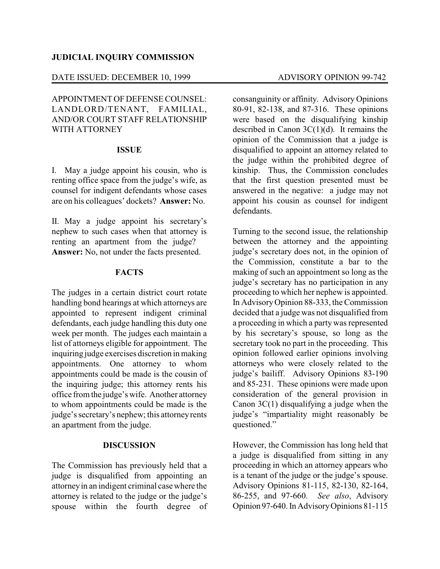### **JUDICIAL INQUIRY COMMISSION**

### DATE ISSUED: DECEMBER 10, 1999 ADVISORY OPINION 99-742

APPOINTMENT OF DEFENSE COUNSEL: LANDLORD/TENANT, FAMILIAL, AND/OR COURT STAFF RELATIONSHIP WITH ATTORNEY

## **ISSUE**

I. May a judge appoint his cousin, who is renting office space from the judge's wife, as counsel for indigent defendants whose cases are on his colleagues' dockets? **Answer:** No.

II. May a judge appoint his secretary's nephew to such cases when that attorney is renting an apartment from the judge? **Answer:** No, not under the facts presented.

# **FACTS**

The judges in a certain district court rotate handling bond hearings at which attorneys are appointed to represent indigent criminal defendants, each judge handling this duty one week per month. The judges each maintain a list of attorneys eligible for appointment. The inquiring judge exercises discretion in making appointments. One attorney to whom appointments could be made is the cousin of the inquiring judge; this attorney rents his office from the judge's wife. Another attorney to whom appointments could be made is the judge's secretary's nephew; this attorneyrents an apartment from the judge.

#### **DISCUSSION**

The Commission has previously held that a judge is disqualified from appointing an attorneyin an indigent criminal casewhere the attorney is related to the judge or the judge's spouse within the fourth degree of consanguinity or affinity. Advisory Opinions 80-91, 82-138, and 87-316. These opinions were based on the disqualifying kinship described in Canon 3C(1)(d). It remains the opinion of the Commission that a judge is disqualified to appoint an attorney related to the judge within the prohibited degree of kinship. Thus, the Commission concludes that the first question presented must be answered in the negative: a judge may not appoint his cousin as counsel for indigent defendants.

Turning to the second issue, the relationship between the attorney and the appointing judge's secretary does not, in the opinion of the Commission, constitute a bar to the making of such an appointment so long as the judge's secretary has no participation in any proceeding to which her nephew is appointed. In AdvisoryOpinion 88-333, the Commission decided that a judge was not disqualified from a proceeding in which a party was represented by his secretary's spouse, so long as the secretary took no part in the proceeding. This opinion followed earlier opinions involving attorneys who were closely related to the judge's bailiff. Advisory Opinions 83-190 and 85-231. These opinions were made upon consideration of the general provision in Canon 3C(1) disqualifying a judge when the judge's "impartiality might reasonably be questioned."

However, the Commission has long held that a judge is disqualified from sitting in any proceeding in which an attorney appears who is a tenant of the judge or the judge's spouse. Advisory Opinions 81-115, 82-130, 82-164, 86-255, and 97-660. *See also*, Advisory Opinion 97-640. In AdvisoryOpinions 81-115